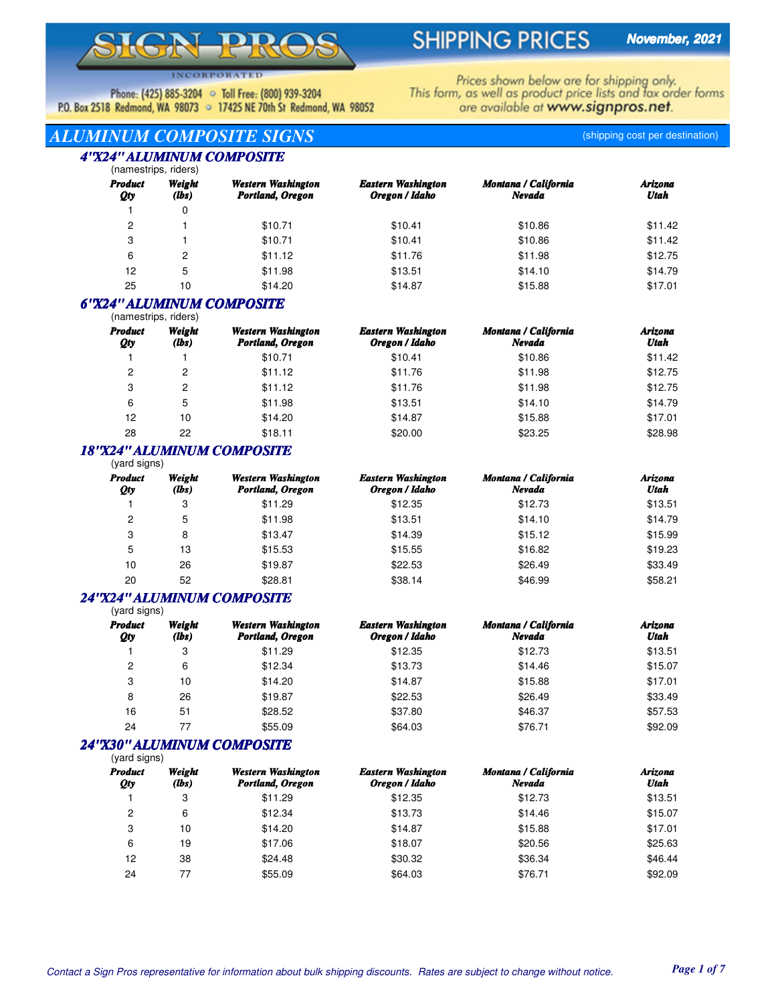# **SHIPPING PRICES**

**INCORPORATED** 

Phone: (425) 885-3204 • Toll Free: (800) 939-3204 P.O. Box 2518 Redmond, WA 98073 . 17425 NE 70th St Redmond, WA 98052 Prices shown below are for shipping only.<br>This form, as well as product price lists and fax order forms are available at www.signpros.net.

## *ALUMINUM COMPOSITE SIGNS* (shipping cost per destination) *4"X24" ALUMINUM COMPOSITE*

|                       | '4 " ALUMINUM COMPOSITE<br>(namestrips, riders) |                                        |                                             |                                |                        |  |  |  |  |
|-----------------------|-------------------------------------------------|----------------------------------------|---------------------------------------------|--------------------------------|------------------------|--|--|--|--|
| <b>Product</b><br>Qty | Weight<br>(lbs)                                 | Western Washington<br>Portland, Oregon | <b>Eastern Washington</b><br>Oregon / Idaho | Montana / California<br>Nevada | <b>Arizona</b><br>Utah |  |  |  |  |
|                       | 0                                               |                                        |                                             |                                |                        |  |  |  |  |
| 2                     |                                                 | \$10.71                                | \$10.41                                     | \$10.86                        | \$11.42                |  |  |  |  |
| 3                     |                                                 | \$10.71                                | \$10.41                                     | \$10.86                        | \$11.42                |  |  |  |  |
| 6                     | 2                                               | \$11.12                                | \$11.76                                     | \$11.98                        | \$12.75                |  |  |  |  |
| 12                    | 5                                               | \$11.98                                | \$13.51                                     | \$14.10                        | \$14.79                |  |  |  |  |

## *6"X24" ALUMINUM COMPOSITE*

| (namestrips, riders)  |                 |                                        |                                             |                                |                 |
|-----------------------|-----------------|----------------------------------------|---------------------------------------------|--------------------------------|-----------------|
| <b>Product</b><br>Qty | Weight<br>(lbs) | Western Washington<br>Portland, Oregon | <b>Eastern Washington</b><br>Oregon / Idaho | Montana / California<br>Nevada | Arizona<br>Utah |
|                       |                 | \$10.71                                | \$10.41                                     | \$10.86                        | \$11.42         |
| 2                     | 2               | \$11.12                                | \$11.76                                     | \$11.98                        | \$12.75         |
| 3                     | 2               | \$11.12                                | \$11.76                                     | \$11.98                        | \$12.75         |
| 6                     | 5               | \$11.98                                | \$13.51                                     | \$14.10                        | \$14.79         |
| 12                    | 10              | \$14.20                                | \$14.87                                     | \$15.88                        | \$17.01         |
| 28                    | 22              | \$18.11                                | \$20.00                                     | \$23.25                        | \$28.98         |

25 10 \$14.20 \$14.87 \$15.88 \$17.01

#### (vard signs) *18"X24" ALUMINUM COMPOSITE*

| $\sim$<br><b>Product</b><br>Qty | Weight<br>(lbs) | Western Washington<br>Portland, Oregon | <b>Eastern Washington</b><br>Oregon / Idaho | Montana / California<br>Nevada | Arizona<br>Utah |
|---------------------------------|-----------------|----------------------------------------|---------------------------------------------|--------------------------------|-----------------|
|                                 | 3               | \$11.29                                | \$12.35                                     | \$12.73                        | \$13.51         |
| 2                               | 5               | \$11.98                                | \$13.51                                     | \$14.10                        | \$14.79         |
| 3                               | 8               | \$13.47                                | \$14.39                                     | \$15.12                        | \$15.99         |
| 5                               | 13              | \$15.53                                | \$15.55                                     | \$16.82                        | \$19.23         |
| 10                              | 26              | \$19.87                                | \$22.53                                     | \$26.49                        | \$33.49         |
| 20                              | 52              | \$28.81                                | \$38.14                                     | \$46.99                        | \$58.21         |

#### (vard signs) *24"X24" ALUMINUM COMPOSITE*

| <b>Product</b><br>Qty | Weight<br>(lbs) | Western Washington<br>Portland, Oregon | <b>Eastern Washington</b><br>Oregon / Idaho | <b>Montana / California</b><br>Nevada | Arizona<br>Utah |  |
|-----------------------|-----------------|----------------------------------------|---------------------------------------------|---------------------------------------|-----------------|--|
|                       | 3               | \$11.29                                | \$12.35                                     | \$12.73                               | \$13.51         |  |
| 2                     | 6               | \$12.34                                | \$13.73                                     | \$14.46                               | \$15.07         |  |
| 3                     | 10              | \$14.20                                | \$14.87                                     | \$15.88                               | \$17.01         |  |
| 8                     | 26              | \$19.87                                | \$22.53                                     | \$26.49                               | \$33.49         |  |
| 16                    | 51              | \$28.52                                | \$37.80                                     | \$46.37                               | \$57.53         |  |
| 24                    |                 | \$55.09                                | \$64.03                                     | \$76.71                               | \$92.09         |  |

## *24"X30" ALUMINUM COMPOSITE*

| (yard signs) |
|--------------|

| <b>Product</b><br>Qty | Weight<br>(lbs) | Western Washington<br>Portland, Oregon | <b>Eastern Washington</b><br>Oregon / Idaho | Montana / California<br>Nevada | Arizona<br>Utah |
|-----------------------|-----------------|----------------------------------------|---------------------------------------------|--------------------------------|-----------------|
|                       | 3               | \$11.29                                | \$12.35                                     | \$12.73                        | \$13.51         |
| 2                     | 6               | \$12.34                                | \$13.73                                     | \$14.46                        | \$15.07         |
| 3                     | 10              | \$14.20                                | \$14.87                                     | \$15.88                        | \$17.01         |
| 6                     | 19              | \$17.06                                | \$18.07                                     | \$20.56                        | \$25.63         |
| 12                    | 38              | \$24.48                                | \$30.32                                     | \$36.34                        | \$46.44         |
| 24                    | 77              | \$55.09                                | \$64.03                                     | \$76.71                        | \$92.09         |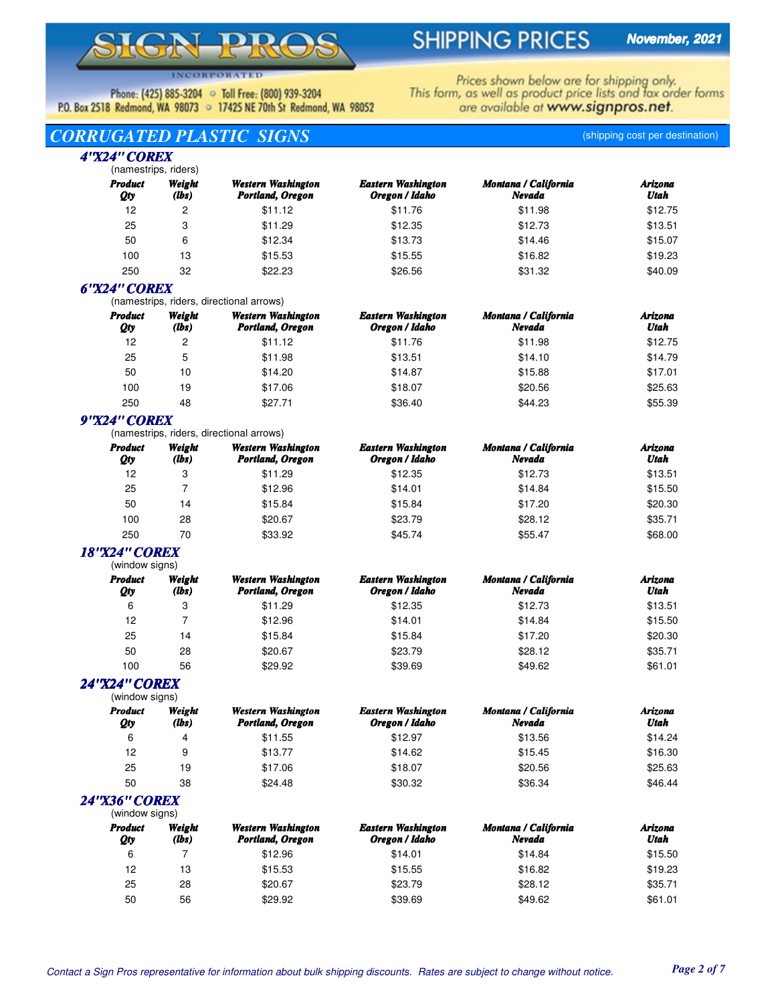# $\overline{\phantom{a}}$

# **SHIPPING PRICES**

**INCORPORATED** 

Phone: (425) 885-3204 • Toll Free: (800) 939-3204 P.O. Box 2518 Redmond, WA 98073 . 17425 NE 70th St Redmond, WA 98052 Prices shown below are for shipping only.<br>This form, as well as product price lists and fax order forms are available at www.signpros.net.

# *CORRUGATED PLASTIC SIGNS* (shipping cost per destination)

#### (namestrips, riders) *4"X24" COREX*

| <b>Product</b><br>Qty | Weight<br>(lbs) | Western Washington<br>Portland, Oregon | <b>Eastern Washington</b><br>Oregon / Idaho | Montana / California<br>Nevada | Arizona<br>Utah |  |
|-----------------------|-----------------|----------------------------------------|---------------------------------------------|--------------------------------|-----------------|--|
| 12                    | 2               | \$11.12                                | \$11.76                                     | \$11.98                        | \$12.75         |  |
| 25                    | 3               | \$11.29                                | \$12.35                                     | \$12.73                        | \$13.51         |  |
| 50                    | 6               | \$12.34                                | \$13.73                                     | \$14.46                        | \$15.07         |  |
| 100                   | 13              | \$15.53                                | \$15.55                                     | \$16.82                        | \$19.23         |  |
| 250                   | 32              | \$22.23                                | \$26.56                                     | \$31.32                        | \$40.09         |  |

## *6"X24" COREX*

(namestrips, riders, directional arrows)

| <b>Product</b><br>Qty | Weight<br>(lbs) | Western Washington<br>Portland, Oregon | <b>Eastern Washington</b><br>Oregon / Idaho | <b>Montana / California</b><br>Nevada | Arizona<br>Utah |
|-----------------------|-----------------|----------------------------------------|---------------------------------------------|---------------------------------------|-----------------|
| 12                    | 2               | \$11.12                                | \$11.76                                     | \$11.98                               | \$12.75         |
| 25                    | 5               | \$11.98                                | \$13.51                                     | \$14.10                               | \$14.79         |
| 50                    | 10              | \$14.20                                | \$14.87                                     | \$15.88                               | \$17.01         |
| 100                   | 19              | \$17.06                                | \$18.07                                     | \$20.56                               | \$25.63         |
| 250                   | 48              | \$27.71                                | \$36.40                                     | \$44.23                               | \$55.39         |

# *9"X24" COREX*

(namestrips, riders, directional arrows)

| <b>Product</b><br>Qty | Weight<br>$(lbs)$ | Western Washington<br>Portland, Oregon | <b>Eastern Washington</b><br>Oregon / Idaho | <b>Montana / California</b><br>Nevada | Arizona<br>Utah |
|-----------------------|-------------------|----------------------------------------|---------------------------------------------|---------------------------------------|-----------------|
| 12                    | 3                 | \$11.29                                | \$12.35                                     | \$12.73                               | \$13.51         |
| 25                    |                   | \$12.96                                | \$14.01                                     | \$14.84                               | \$15.50         |
| 50                    | 14                | \$15.84                                | \$15.84                                     | \$17.20                               | \$20.30         |
| 100                   | 28                | \$20.67                                | \$23.79                                     | \$28.12                               | \$35.71         |
| 250                   | 70                | \$33.92                                | \$45.74                                     | \$55.47                               | \$68.00         |

#### (window signs) *18"X24" COREX*

| וטווטיש זיטטוויזי     |                 |                                        |                                             |                                |                 |
|-----------------------|-----------------|----------------------------------------|---------------------------------------------|--------------------------------|-----------------|
| <b>Product</b><br>Qty | Weight<br>(lbs) | Western Washington<br>Portland, Oregon | <b>Eastern Washington</b><br>Oregon / Idaho | Montana / California<br>Nevada | Arizona<br>Utah |
| 6                     | 3               | \$11.29                                | \$12.35                                     | \$12.73                        | \$13.51         |
| 12                    |                 | \$12.96                                | \$14.01                                     | \$14.84                        | \$15.50         |
| 25                    | 14              | \$15.84                                | \$15.84                                     | \$17.20                        | \$20.30         |
| 50                    | 28              | \$20.67                                | \$23.79                                     | \$28.12                        | \$35.71         |
| 100                   | 56              | \$29.92                                | \$39.69                                     | \$49.62                        | \$61.01         |
|                       |                 |                                        |                                             |                                |                 |

#### *24"X24" COREX*

| (window signs)        |                 |                                        |                                             |                                |                 |
|-----------------------|-----------------|----------------------------------------|---------------------------------------------|--------------------------------|-----------------|
| <b>Product</b><br>Qty | Weight<br>(lbs) | Western Washington<br>Portland, Oregon | <b>Eastern Washington</b><br>Oregon / Idaho | Montana / California<br>Nevada | Arizona<br>Utah |
| 6                     | 4               | \$11.55                                | \$12.97                                     | \$13.56                        | \$14.24         |
| 12                    | 9               | \$13.77                                | \$14.62                                     | \$15.45                        | \$16.30         |
| 25                    | 19              | \$17.06                                | \$18.07                                     | \$20.56                        | \$25.63         |
| 50                    | 38              | \$24.48                                | \$30.32                                     | \$36.34                        | \$46.44         |

### *24"X36" COREX*

| (window signs)        |                 |                                        |                                             |                                |                 |
|-----------------------|-----------------|----------------------------------------|---------------------------------------------|--------------------------------|-----------------|
| <b>Product</b><br>Qty | Weight<br>(lbs) | Western Washington<br>Portland, Oregon | <b>Eastern Washington</b><br>Oregon / Idaho | Montana / California<br>Nevada | Arizona<br>Utah |
| 6                     |                 | \$12.96                                | \$14.01                                     | \$14.84                        | \$15.50         |
| 12                    | 13              | \$15.53                                | \$15.55                                     | \$16.82                        | \$19.23         |
| 25                    | 28              | \$20.67                                | \$23.79                                     | \$28.12                        | \$35.71         |
| 50                    | 56              | \$29.92                                | \$39.69                                     | \$49.62                        | \$61.01         |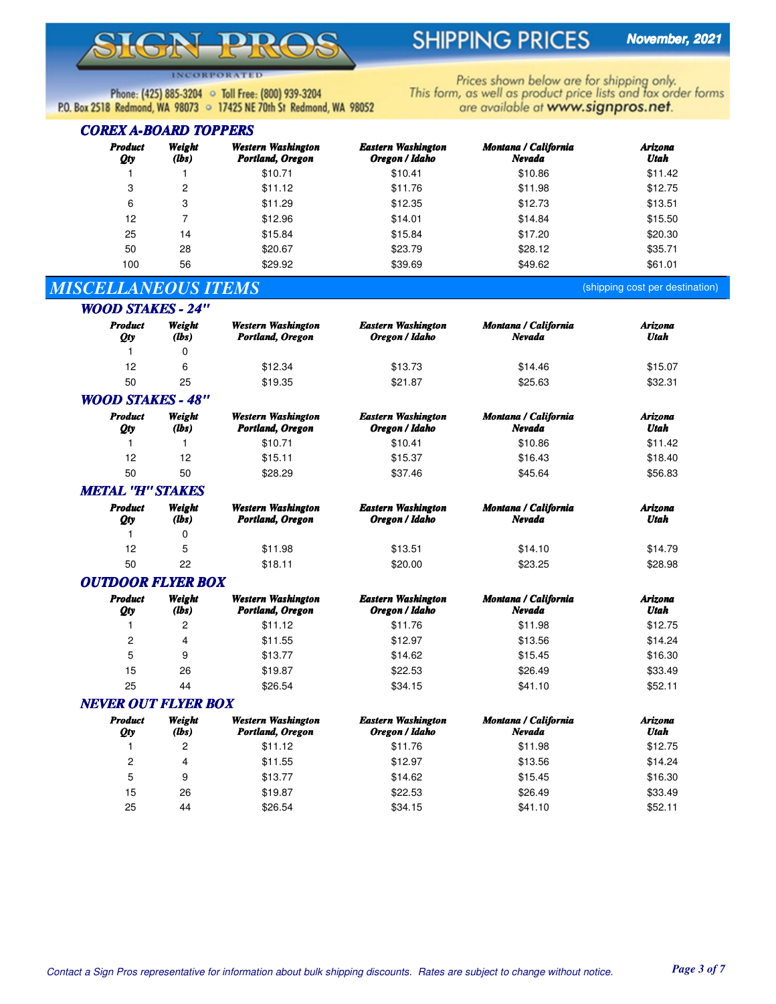# **SHIPPING PRICES**

Prices shown below are for shipping only.<br>This form, as well as product price lists and fax order forms

are available at www.signpros.net.

**INCORPORATED** 

Phone: (425) 885-3204 • Toll Free: (800) 939-3204 P.O. Box 2518 Redmond, WA 98073 . 17425 NE 70th St Redmond, WA 98052

### *COREX A-BOARD TOPPERS*

| <b>Product</b><br>Qty | Weight<br>(lbs) | Western Washington<br>Portland, Oregon | <b>Eastern Washington</b><br>Oregon / Idaho | Montana / California<br>Nevada | Arizona<br>Utah |
|-----------------------|-----------------|----------------------------------------|---------------------------------------------|--------------------------------|-----------------|
|                       |                 | \$10.71                                | \$10.41                                     | \$10.86                        | \$11.42         |
| 3                     | 2               | \$11.12                                | \$11.76                                     | \$11.98                        | \$12.75         |
| 6                     | 3               | \$11.29                                | \$12.35                                     | \$12.73                        | \$13.51         |
| 12                    |                 | \$12.96                                | \$14.01                                     | \$14.84                        | \$15.50         |
| 25                    | 14              | \$15.84                                | \$15.84                                     | \$17.20                        | \$20.30         |
| 50                    | 28              | \$20.67                                | \$23.79                                     | \$28.12                        | \$35.71         |
| 100                   | 56              | \$29.92                                | \$39.69                                     | \$49.62                        | \$61.01         |

# *MISCELLANEOUS ITEMS* (shipping cost per destination)

| <b>WOOD STAKES - 24"</b> |                   |                                        |                                             |                                |                 |  |  |  |
|--------------------------|-------------------|----------------------------------------|---------------------------------------------|--------------------------------|-----------------|--|--|--|
| <b>Product</b><br>Qty    | Weight<br>$(lbs)$ | Western Washington<br>Portland, Oregon | <b>Eastern Washington</b><br>Oregon / Idaho | Montana / California<br>Nevada | Arizona<br>Utah |  |  |  |
|                          | 0                 |                                        |                                             |                                |                 |  |  |  |
| 12                       | 6                 | \$12.34                                | \$13.73                                     | \$14.46                        | \$15.07         |  |  |  |
| 50                       | 25                | \$19.35                                | \$21.87                                     | \$25.63                        | \$32.31         |  |  |  |
| <b>WOOD STAKES - 48"</b> |                   |                                        |                                             |                                |                 |  |  |  |

| <b>Product</b><br><b>Qty</b> | Weight<br>(lbs) | <b>Western Washington</b><br>Portland, Oregon | <b>Eastern Washington</b><br>Oregon / Idaho | Montana / California<br>Nevada | Arizona<br>Utah |  |  |
|------------------------------|-----------------|-----------------------------------------------|---------------------------------------------|--------------------------------|-----------------|--|--|
|                              |                 | \$10.71                                       | \$10.41                                     | \$10.86                        | \$11.42         |  |  |
| 12                           | 12              | \$15.11                                       | \$15.37                                     | \$16.43                        | \$18.40         |  |  |
| 50                           | 50              | \$28.29                                       | \$37.46                                     | \$45.64                        | \$56.83         |  |  |
|                              |                 |                                               |                                             |                                |                 |  |  |

## *METAL "H" STAKES*

| Product<br>Qty | Weight<br>(lbs) | Western Washington<br>Portland, Oregon | <b>Eastern Washington</b><br>Oregon / Idaho | Montana / California<br>Nevada | Arizona<br>Utah |
|----------------|-----------------|----------------------------------------|---------------------------------------------|--------------------------------|-----------------|
|                |                 |                                        |                                             |                                |                 |
| 12             |                 | \$11.98                                | \$13.51                                     | \$14.10                        | \$14.79         |
| 50             | 22              | \$18.11                                | \$20.00                                     | \$23.25                        | \$28.98         |

#### *OUTDOOR FLYER BOX*

| <b>Product</b><br>Qty | Weight<br>(lbs) | Western Washington<br>Portland, Oregon | <b>Eastern Washington</b><br>Oregon / Idaho | Montana / California<br>Nevada | Arizona<br>Utah |
|-----------------------|-----------------|----------------------------------------|---------------------------------------------|--------------------------------|-----------------|
|                       | 2               | \$11.12                                | \$11.76                                     | \$11.98                        | \$12.75         |
| 2                     | 4               | \$11.55                                | \$12.97                                     | \$13.56                        | \$14.24         |
| 5                     | 9               | \$13.77                                | \$14.62                                     | \$15.45                        | \$16.30         |
| 15                    | 26              | \$19.87                                | \$22.53                                     | \$26.49                        | \$33.49         |
| 25                    | 44              | \$26.54                                | \$34.15                                     | \$41.10                        | \$52.11         |

### *NEVER OUT FLYER BOX*

| <b>Product</b><br>Qty | Weight<br>(lbs) | Western Washington<br>Portland, Oregon | <b>Eastern Washington</b><br>Oregon / Idaho | Montana / California<br>Nevada | Arizona<br>Utah |
|-----------------------|-----------------|----------------------------------------|---------------------------------------------|--------------------------------|-----------------|
|                       | 2               | \$11.12                                | \$11.76                                     | \$11.98                        | \$12.75         |
| 2                     | 4               | \$11.55                                | \$12.97                                     | \$13.56                        | \$14.24         |
| 5                     | 9               | \$13.77                                | \$14.62                                     | \$15.45                        | \$16.30         |
| 15                    | 26              | \$19.87                                | \$22.53                                     | \$26.49                        | \$33.49         |
| 25                    | 44              | \$26.54                                | \$34.15                                     | \$41.10                        | \$52.11         |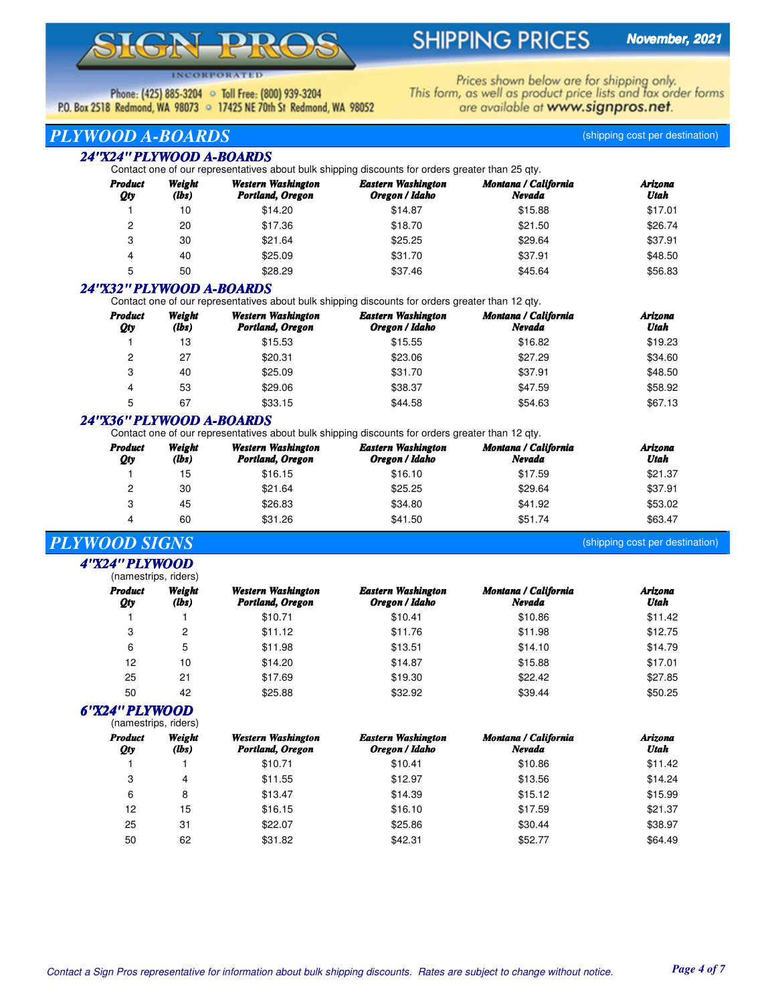# $\overline{\phantom{0}}$

# **SHIPPING PRICES**

**INCORPORATED** 

Phone: (425) 885-3204 • Toll Free: (800) 939-3204 P.O. Box 2518 Redmond, WA 98073 . 17425 NE 70th St Redmond, WA 98052 Prices shown below are for shipping only.<br>This form, as well as product price lists and fax order forms are available at www.signpros.net.

# *PLYWOOD A-BOARDS* (shipping cost per destination)

### *24"X24" PLYWOOD A-BOARDS*

Contact one of our representatives about bulk shipping discounts for orders greater than 25 qty.

| Product<br>Qty | Weight<br>(lbs) | Western Washington<br>Portland, Oregon | Eastern Washington<br>Oregon / Idaho | <b>Montana / California</b><br>Nevada | Arizona<br>Utah |
|----------------|-----------------|----------------------------------------|--------------------------------------|---------------------------------------|-----------------|
|                | 10              | \$14.20                                | \$14.87                              | \$15.88                               | \$17.01         |
| 2              | 20              | \$17.36                                | \$18.70                              | \$21.50                               | \$26.74         |
| 3              | 30              | \$21.64                                | \$25.25                              | \$29.64                               | \$37.91         |
| 4              | 40              | \$25.09                                | \$31.70                              | \$37.91                               | \$48.50         |
| 5              | 50              | \$28.29                                | \$37.46                              | \$45.64                               | \$56.83         |

## *24"X32" PLYWOOD A-BOARDS*

Contact one of our representatives about bulk shipping discounts for orders greater than 12 qty.

| <b>Product</b><br>Qty | Weight<br>(lbs) | Western Washington<br>Portland, Oregon | <b>Eastern Washington</b><br>Oregon / Idaho | Montana / California<br>Nevada | Arizona<br>Utah |
|-----------------------|-----------------|----------------------------------------|---------------------------------------------|--------------------------------|-----------------|
|                       | 13              | \$15.53                                | \$15.55                                     | \$16.82                        | \$19.23         |
| 2                     | 27              | \$20.31                                | \$23.06                                     | \$27.29                        | \$34.60         |
| 3                     | 40              | \$25.09                                | \$31.70                                     | \$37.91                        | \$48.50         |
| 4                     | 53              | \$29.06                                | \$38.37                                     | \$47.59                        | \$58.92         |
| 5                     | 67              | \$33.15                                | \$44.58                                     | \$54.63                        | \$67.13         |

## *24"X36" PLYWOOD A-BOARDS*

Contact one of our representatives about bulk shipping discounts for orders greater than 12 qty.

| <b>Product</b><br>Qty | Weight<br>(lbs) | Western Washington<br>Portland, Oregon | <b>Eastern Washington</b><br>Oregon / Idaho | <b>Montana / California</b><br>Nevada | Arizona<br>Utah |
|-----------------------|-----------------|----------------------------------------|---------------------------------------------|---------------------------------------|-----------------|
|                       | 15              | \$16.15                                | \$16.10                                     | \$17.59                               | \$21.37         |
| 2                     | 30              | \$21.64                                | \$25.25                                     | \$29.64                               | \$37.91         |
| 3                     | 45              | \$26.83                                | \$34.80                                     | \$41.92                               | \$53.02         |
| 4                     | 60              | \$31.26                                | \$41.50                                     | \$51.74                               | \$63.47         |

# *PLYWOOD SIGNS* (shipping cost per destination)

(namestrips, riders) *4"X24" PLYWOOD*

|                       | ,,,a,,,compo, ,,ac,o, |                                        |                                             |                                       |                 |  |
|-----------------------|-----------------------|----------------------------------------|---------------------------------------------|---------------------------------------|-----------------|--|
| <b>Product</b><br>Qty | Weight<br>(lbs)       | Western Washington<br>Portland, Oregon | <b>Eastern Washington</b><br>Oregon / Idaho | <b>Montana / California</b><br>Nevada | Arizona<br>Utah |  |
|                       |                       | \$10.71                                | \$10.41                                     | \$10.86                               | \$11.42         |  |
| 3                     | 2                     | \$11.12                                | \$11.76                                     | \$11.98                               | \$12.75         |  |
| 6                     | 5                     | \$11.98                                | \$13.51                                     | \$14.10                               | \$14.79         |  |
| 12                    | 10                    | \$14.20                                | \$14.87                                     | \$15.88                               | \$17.01         |  |
| 25                    | 21                    | \$17.69                                | \$19.30                                     | \$22.42                               | \$27.85         |  |
| 50                    | 42                    | \$25.88                                | \$32.92                                     | \$39.44                               | \$50.25         |  |
|                       |                       |                                        |                                             |                                       |                 |  |

(namestrips, riders) *6"X24" PLYWOOD*

|                       | (Hallicstrips, Hucis) |                                        |                                             |                                       |                 |
|-----------------------|-----------------------|----------------------------------------|---------------------------------------------|---------------------------------------|-----------------|
| <b>Product</b><br>Qty | Weight<br>(lbs)       | Western Washington<br>Portland, Oregon | <b>Eastern Washington</b><br>Oregon / Idaho | <b>Montana / California</b><br>Nevada | Arizona<br>Utah |
|                       |                       | \$10.71                                | \$10.41                                     | \$10.86                               | \$11.42         |
| 3                     | 4                     | \$11.55                                | \$12.97                                     | \$13.56                               | \$14.24         |
| 6                     | 8                     | \$13.47                                | \$14.39                                     | \$15.12                               | \$15.99         |
| 12                    | 15                    | \$16.15                                | \$16.10                                     | \$17.59                               | \$21.37         |
| 25                    | 31                    | \$22.07                                | \$25.86                                     | \$30.44                               | \$38.97         |
| 50                    | 62                    | \$31.82                                | \$42.31                                     | \$52.77                               | \$64.49         |
|                       |                       |                                        |                                             |                                       |                 |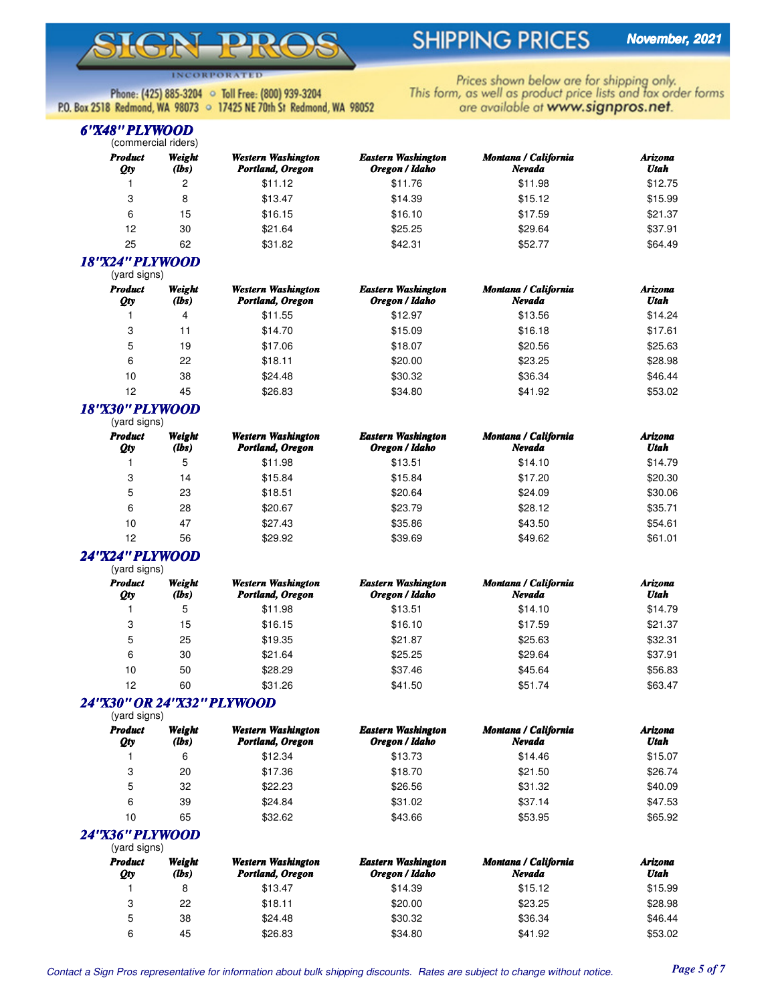# $\overline{\phantom{0}}$

# **SHIPPING PRICES**

**INCORPORATED** 

Phone: (425) 885-3204 • Toll Free: (800) 939-3204 P.O. Box 2518 Redmond, WA 98073 . 17425 NE 70th St Redmond, WA 98052 Prices shown below are for shipping only.<br>This form, as well as product price lists and fax order forms are available at www.signpros.net.

#### (commercial riders) *6"X48" PLYWOOD*

| $\overline{C}$        |                 |                                        |                                             |                                |                 |
|-----------------------|-----------------|----------------------------------------|---------------------------------------------|--------------------------------|-----------------|
| <b>Product</b><br>Qty | Weight<br>(lbs) | Western Washington<br>Portland, Oregon | <b>Eastern Washington</b><br>Oregon / Idaho | Montana / California<br>Nevada | Arizona<br>Utah |
|                       | 2               | \$11.12                                | \$11.76                                     | \$11.98                        | \$12.75         |
| 3                     | 8               | \$13.47                                | \$14.39                                     | \$15.12                        | \$15.99         |
| 6                     | 15              | \$16.15                                | \$16.10                                     | \$17.59                        | \$21.37         |
| 12                    | 30              | \$21.64                                | \$25.25                                     | \$29.64                        | \$37.91         |
| 25                    | 62              | \$31.82                                | \$42.31                                     | \$52.77                        | \$64.49         |
|                       |                 |                                        |                                             |                                |                 |

#### (yard signs) *18"X24" PLYWOOD*

| 19 anu siynis <i>)</i> |                 |                                        |                                             |                                       |                 |  |  |
|------------------------|-----------------|----------------------------------------|---------------------------------------------|---------------------------------------|-----------------|--|--|
| <b>Product</b><br>Qty  | Weight<br>(lbs) | Western Washington<br>Portland, Oregon | <b>Eastern Washington</b><br>Oregon / Idaho | <b>Montana / California</b><br>Nevada | Arizona<br>Utah |  |  |
|                        | 4               | \$11.55                                | \$12.97                                     | \$13.56                               | \$14.24         |  |  |
| 3                      | 11              | \$14.70                                | \$15.09                                     | \$16.18                               | \$17.61         |  |  |
| 5                      | 19              | \$17.06                                | \$18.07                                     | \$20.56                               | \$25.63         |  |  |
| 6                      | 22              | \$18.11                                | \$20.00                                     | \$23.25                               | \$28.98         |  |  |
| 10                     | 38              | \$24.48                                | \$30.32                                     | \$36.34                               | \$46.44         |  |  |
| 12                     | 45              | \$26.83                                | \$34.80                                     | \$41.92                               | \$53.02         |  |  |

#### (yard signs) *18"X30" PLYWOOD*

| <b>Product</b><br>Qty | Weight<br>(lbs) | Western Washington<br>Portland, Oregon | <b>Eastern Washington</b><br>Oregon / Idaho | Montana / California<br>Nevada | Arizona<br>Utah |
|-----------------------|-----------------|----------------------------------------|---------------------------------------------|--------------------------------|-----------------|
|                       | 5               | \$11.98                                | \$13.51                                     | \$14.10                        | \$14.79         |
| 3                     | 14              | \$15.84                                | \$15.84                                     | \$17.20                        | \$20.30         |
| 5                     | 23              | \$18.51                                | \$20.64                                     | \$24.09                        | \$30.06         |
| 6                     | 28              | \$20.67                                | \$23.79                                     | \$28.12                        | \$35.71         |
| 10                    | 47              | \$27.43                                | \$35.86                                     | \$43.50                        | \$54.61         |
| 12                    | 56              | \$29.92                                | \$39.69                                     | \$49.62                        | \$61.01         |

#### (vard signs) *24"X24" PLYWOOD*

| <b>Product</b><br>Qty | Weight<br>(lbs) | Western Washington<br>Portland, Oregon | <b>Eastern Washington</b><br>Oregon / Idaho | <b>Montana / California</b><br>Nevada | Arizona<br>Utah |
|-----------------------|-----------------|----------------------------------------|---------------------------------------------|---------------------------------------|-----------------|
|                       | 5               | \$11.98                                | \$13.51                                     | \$14.10                               | \$14.79         |
| 3                     | 15              | \$16.15                                | \$16.10                                     | \$17.59                               | \$21.37         |
| 5                     | 25              | \$19.35                                | \$21.87                                     | \$25.63                               | \$32.31         |
| 6                     | 30              | \$21.64                                | \$25.25                                     | \$29.64                               | \$37.91         |
| 10                    | 50              | \$28.29                                | \$37.46                                     | \$45.64                               | \$56.83         |
| 12                    | 60              | \$31.26                                | \$41.50                                     | \$51.74                               | \$63.47         |
|                       |                 |                                        |                                             |                                       |                 |

#### (yard signs) *24"X30" OR 24"X32" PLYWOOD*

| <b>Product</b><br>Qty | Weight<br>(lbs) | Western Washington<br>Portland, Oregon | <b>Eastern Washington</b><br>Oregon / Idaho | <b>Montana / California</b><br>Nevada | Arizona<br>Utah |
|-----------------------|-----------------|----------------------------------------|---------------------------------------------|---------------------------------------|-----------------|
|                       | 6               | \$12.34                                | \$13.73                                     | \$14.46                               | \$15.07         |
| 3                     | 20              | \$17.36                                | \$18.70                                     | \$21.50                               | \$26.74         |
| 5                     | 32              | \$22.23                                | \$26.56                                     | \$31.32                               | \$40.09         |
| 6                     | 39              | \$24.84                                | \$31.02                                     | \$37.14                               | \$47.53         |
| 10                    | 65              | \$32.62                                | \$43.66                                     | \$53.95                               | \$65.92         |

#### (yard signs) *24"X36" PLYWOOD*

|                       | ı valu siyilsi  |                                        |                                             |                                |                 |  |
|-----------------------|-----------------|----------------------------------------|---------------------------------------------|--------------------------------|-----------------|--|
| <b>Product</b><br>Qty | Weight<br>(lbs) | Western Washington<br>Portland, Oregon | <b>Eastern Washington</b><br>Oregon / Idaho | Montana / California<br>Nevada | Arizona<br>Utah |  |
|                       |                 | \$13.47                                | \$14.39                                     | \$15.12                        | \$15.99         |  |
| 3                     | 22              | \$18.11                                | \$20.00                                     | \$23.25                        | \$28.98         |  |
| 5                     | 38              | \$24.48                                | \$30.32                                     | \$36.34                        | \$46.44         |  |
| 6                     | 45              | \$26.83                                | \$34.80                                     | \$41.92                        | \$53.02         |  |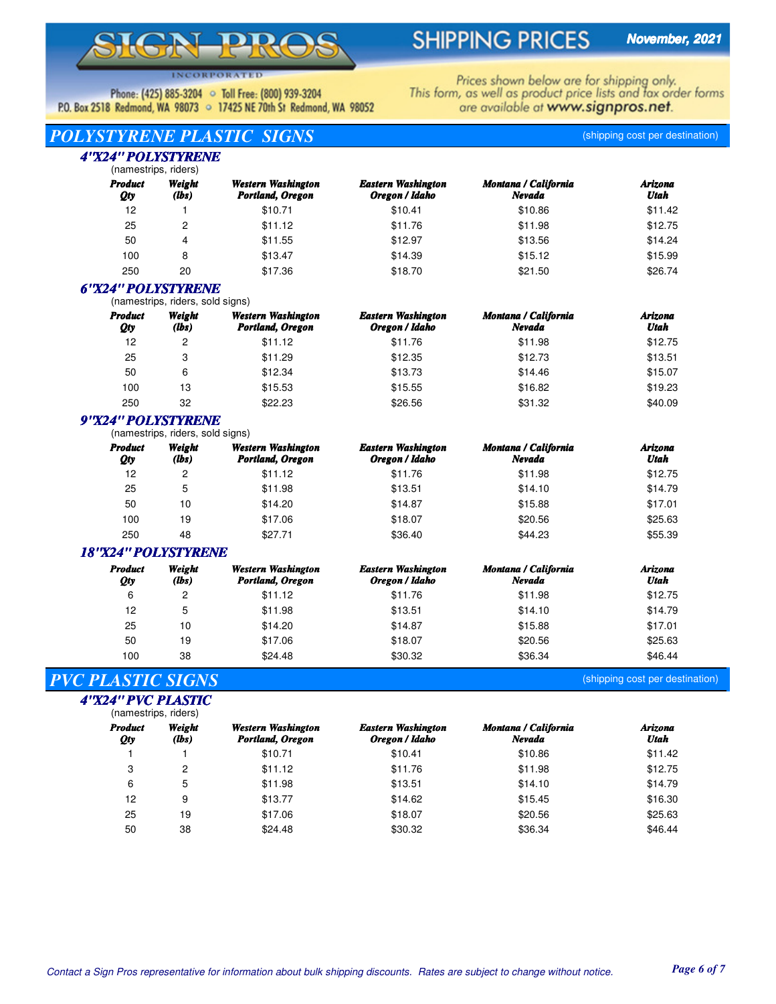# $\blacksquare$

# **SHIPPING PRICES**

**INCORPORATED** 

Phone: (425) 885-3204 • Toll Free: (800) 939-3204 P.O. Box 2518 Redmond, WA 98073 . 17425 NE 70th St Redmond, WA 98052 Prices shown below are for shipping only.<br>This form, as well as product price lists and fax order forms are available at www.signpros.net.

# *POLYSTYRENE PLASTIC SIGNS* (shipping cost per destination)

#### (namestrips, riders) *4"X24" POLYSTYRENE*

| <b>Product</b><br>Qty | Weight<br>(lbs) | Western Washington<br>Portland, Oregon | <b>Eastern Washington</b><br>Oregon / Idaho | Montana / California<br>Nevada | Arizona<br>Utah |
|-----------------------|-----------------|----------------------------------------|---------------------------------------------|--------------------------------|-----------------|
| 12                    |                 | \$10.71                                | \$10.41                                     | \$10.86                        | \$11.42         |
| 25                    |                 | \$11.12                                | \$11.76                                     | \$11.98                        | \$12.75         |
| 50                    | 4               | \$11.55                                | \$12.97                                     | \$13.56                        | \$14.24         |
| 100                   | 8               | \$13.47                                | \$14.39                                     | \$15.12                        | \$15.99         |
| 250                   | 20              | \$17.36                                | \$18.70                                     | \$21.50                        | \$26.74         |

#### *6"X24" POLYSTYRENE*

(namestrips, riders, sold signs)

| <b>Product</b><br><b>Qty</b> | Weight<br>(lbs) | Western Washington<br>Portland, Oregon | <b>Eastern Washington</b><br>Oregon / Idaho | Montana / California<br>Nevada | Arizona<br>Utah |
|------------------------------|-----------------|----------------------------------------|---------------------------------------------|--------------------------------|-----------------|
| 12                           | 2               | \$11.12                                | \$11.76                                     | \$11.98                        | \$12.75         |
| 25                           | 3               | \$11.29                                | \$12.35                                     | \$12.73                        | \$13.51         |
| 50                           | 6               | \$12.34                                | \$13.73                                     | \$14.46                        | \$15.07         |
| 100                          | 13              | \$15.53                                | \$15.55                                     | \$16.82                        | \$19.23         |
| 250                          | 32              | \$22.23                                | \$26.56                                     | \$31.32                        | \$40.09         |

## *9"X24" POLYSTYRENE*

(namestrips, riders, sold signs)

| <b>Product</b><br>Qty | Weight<br>(lbs) | Western Washington<br>Portland, Oregon | <b>Eastern Washington</b><br>Oregon / Idaho | Montana / California<br>Nevada | Arizona<br>Utah |
|-----------------------|-----------------|----------------------------------------|---------------------------------------------|--------------------------------|-----------------|
| 12                    | 2               | \$11.12                                | \$11.76                                     | \$11.98                        | \$12.75         |
| 25                    | 5               | \$11.98                                | \$13.51                                     | \$14.10                        | \$14.79         |
| 50                    | 10              | \$14.20                                | \$14.87                                     | \$15.88                        | \$17.01         |
| 100                   | 19              | \$17.06                                | \$18.07                                     | \$20.56                        | \$25.63         |
| 250                   | 48              | \$27.71                                | \$36.40                                     | \$44.23                        | \$55.39         |

### *18"X24" POLYSTYRENE*

| <b>Product</b><br>Qty | Weight<br>(lbs) | Western Washington<br>Portland, Oregon | <b>Eastern Washington</b><br>Oregon / Idaho | Montana / California<br>Nevada | Arizona<br>Utah |
|-----------------------|-----------------|----------------------------------------|---------------------------------------------|--------------------------------|-----------------|
| 6                     | 2               | \$11.12                                | \$11.76                                     | \$11.98                        | \$12.75         |
| 12                    | 5               | \$11.98                                | \$13.51                                     | \$14.10                        | \$14.79         |
| 25                    | 10              | \$14.20                                | \$14.87                                     | \$15.88                        | \$17.01         |
| 50                    | 19              | \$17.06                                | \$18.07                                     | \$20.56                        | \$25.63         |
| 100                   | 38              | \$24.48                                | \$30.32                                     | \$36.34                        | \$46.44         |

## *PVC PLASTIC SIGNS* (shipping cost per destination)

*4"X24" PVC PLASTIC*

| (namestrips, riders)  |                 |                                               |                                             |                                |                 |
|-----------------------|-----------------|-----------------------------------------------|---------------------------------------------|--------------------------------|-----------------|
| <b>Product</b><br>Qty | Weight<br>(lbs) | <b>Western Washington</b><br>Portland, Oregon | <b>Eastern Washington</b><br>Oregon / Idaho | Montana / California<br>Nevada | Arizona<br>Utah |
|                       |                 | \$10.71                                       | \$10.41                                     | \$10.86                        | \$11.42         |
| 3                     | 2               | \$11.12                                       | \$11.76                                     | \$11.98                        | \$12.75         |
| 6                     | 5               | \$11.98                                       | \$13.51                                     | \$14.10                        | \$14.79         |
| 12                    | 9               | \$13.77                                       | \$14.62                                     | \$15.45                        | \$16.30         |
| 25                    | 19              | \$17.06                                       | \$18.07                                     | \$20.56                        | \$25.63         |
| 50                    | 38              | \$24.48                                       | \$30.32                                     | \$36.34                        | \$46.44         |

Contact a Sign Pros representative for information about bulk shipping discounts. Rates are subject to change without notice. *Page 6 of 7*